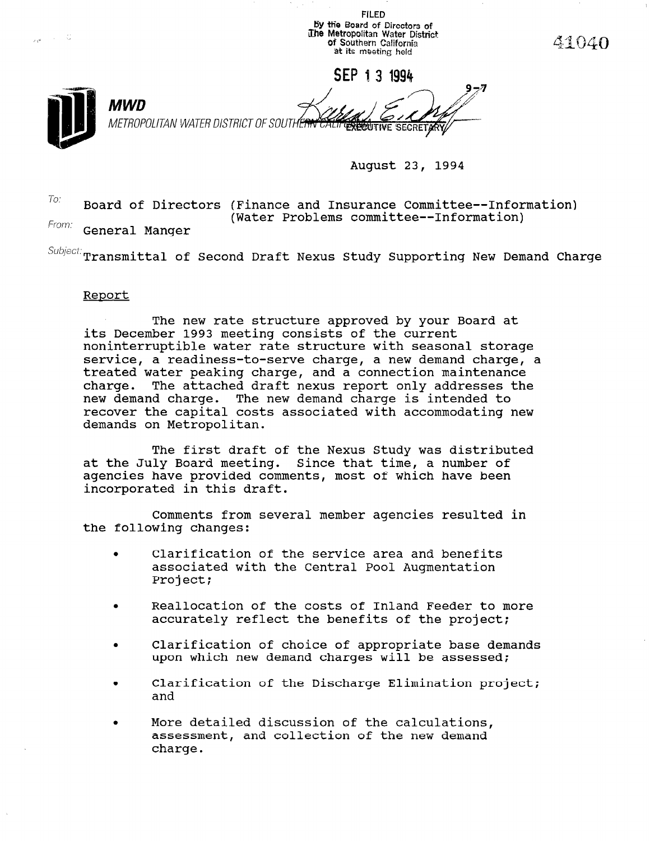

 $T_{O}$ : Board of Directors (Finance and Insurance Committee--Information) From: (Water Problems committee--Information)

General Manger

 $\textit{Subject:}$   $\textbf{transmitted}$  of Second Draft Nexus Study Supporting New Demand Charge

## Report

The new rate structure approved by your Board at its December 1993 meeting consists of the current noninterruptible water rate structure with seasonal storage service, a readiness-to-serve charge, a new demand charge, a treated water peaking charge, and a connection maintenance charge. The attached draft nexus report only addresses the new demand charge. The new demand charge is intended to recover the capital costs associated with accommodating new demands on Metropolitan.

The first draft of the Nexus Study was distributed at the July Board meeting. Since that time, a number of agencies have provided comments, most of which have been incorporated in this draft.

Comments from several member agencies resulted in the following changes:

- . Clarification of the service area and benefits associated with the Central Pool Augmentation Project;
- . Reallocation of the costs of Inland Feeder to more accurately reflect the benefits of the project;
- . Clarification of choice of appropriate base demands upon which new demand charges will be assessed;
- . Clarification of the Discharge Elimination project; ura<br>---
- . More detailed discussion of the calculations, more detailed discussion of the calculations assessment, and collection of the new demand charge.